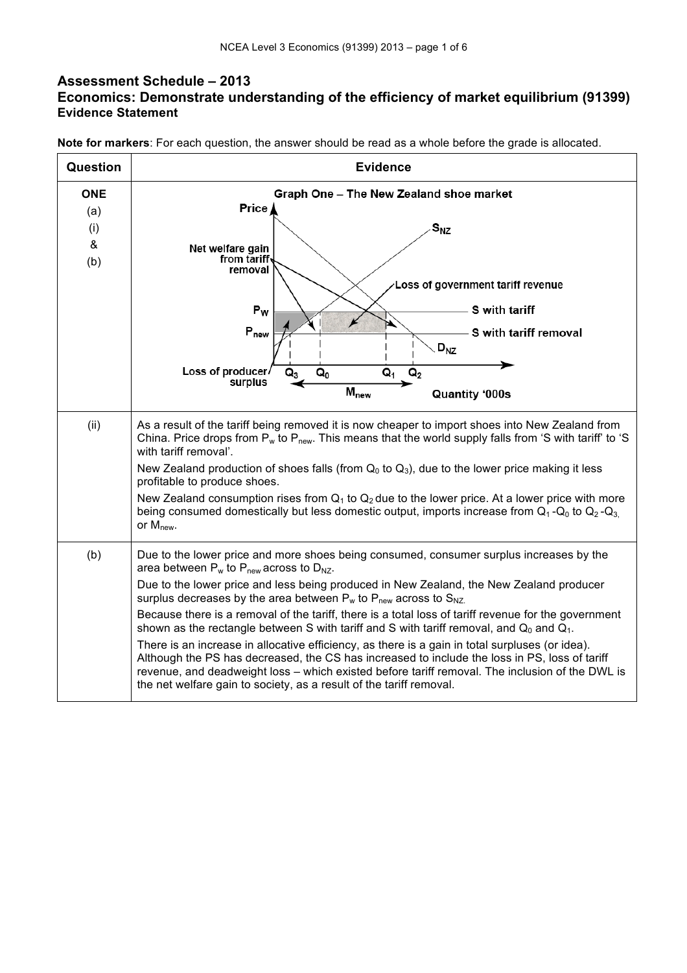## **Assessment Schedule – 2013 Economics: Demonstrate understanding of the efficiency of market equilibrium (91399) Evidence Statement**

**Note for markers**: For each question, the answer should be read as a whole before the grade is allocated.

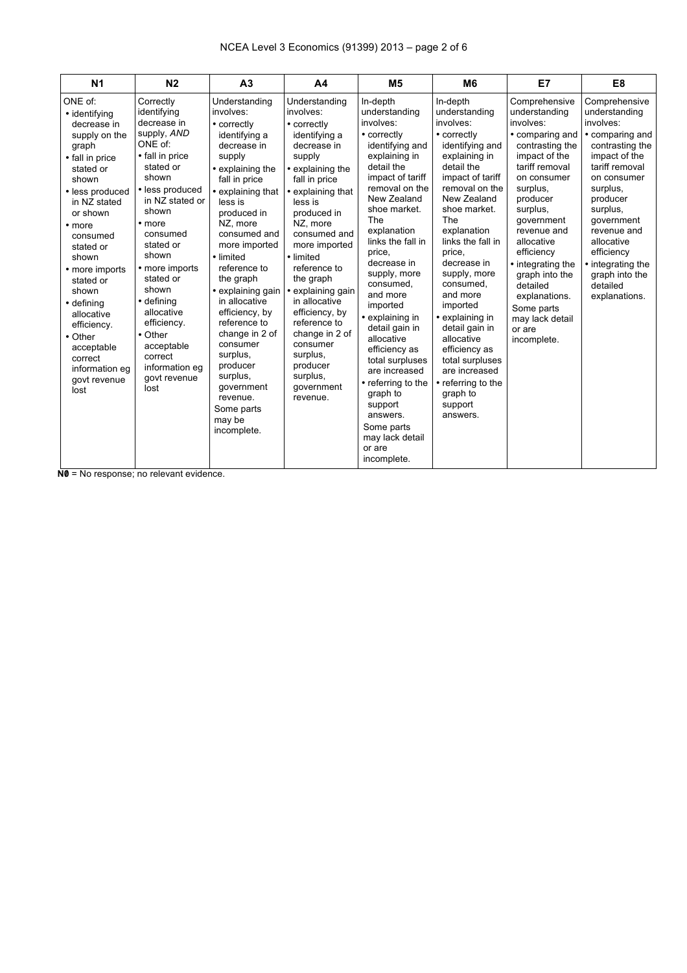| N <sub>1</sub><br>N <sub>2</sub>                                                                                                                                                                                                                                                                                                                                                                                                                                                                                                                                                                                                                                                                                                                 | A <sub>3</sub>                                                                                                                                                                                                                                                                                                                                                                                                                                                            | A <sub>4</sub>                                                                                                                                                                                                                                                                                                                                                                                                                     | M <sub>5</sub>                                                                                                                                                                                                                                                                                                                                                                                                                                                                                                                   | M <sub>6</sub>                                                                                                                                                                                                                                                                                                                                                                                                                                                         | E7                                                                                                                                                                                                                                                                                                                                                             | E <sub>8</sub>                                                                                                                                                                                                                                                                                       |
|--------------------------------------------------------------------------------------------------------------------------------------------------------------------------------------------------------------------------------------------------------------------------------------------------------------------------------------------------------------------------------------------------------------------------------------------------------------------------------------------------------------------------------------------------------------------------------------------------------------------------------------------------------------------------------------------------------------------------------------------------|---------------------------------------------------------------------------------------------------------------------------------------------------------------------------------------------------------------------------------------------------------------------------------------------------------------------------------------------------------------------------------------------------------------------------------------------------------------------------|------------------------------------------------------------------------------------------------------------------------------------------------------------------------------------------------------------------------------------------------------------------------------------------------------------------------------------------------------------------------------------------------------------------------------------|----------------------------------------------------------------------------------------------------------------------------------------------------------------------------------------------------------------------------------------------------------------------------------------------------------------------------------------------------------------------------------------------------------------------------------------------------------------------------------------------------------------------------------|------------------------------------------------------------------------------------------------------------------------------------------------------------------------------------------------------------------------------------------------------------------------------------------------------------------------------------------------------------------------------------------------------------------------------------------------------------------------|----------------------------------------------------------------------------------------------------------------------------------------------------------------------------------------------------------------------------------------------------------------------------------------------------------------------------------------------------------------|------------------------------------------------------------------------------------------------------------------------------------------------------------------------------------------------------------------------------------------------------------------------------------------------------|
| ONE of:<br>Correctly<br>identifying<br>• identifying<br>decrease in<br>decrease in<br>supply, AND<br>supply on the<br>ONE of:<br>graph<br>• fall in price<br>• fall in price<br>stated or<br>stated or<br>shown<br>shown<br>• less produced<br>• less produced<br>in NZ stated or<br>in NZ stated<br>shown<br>or shown<br>• more<br>• more<br>consumed<br>consumed<br>stated or<br>stated or<br>shown<br>shown<br>• more imports<br>• more imports<br>stated or<br>stated or<br>shown<br>shown<br>• defining<br>• defining<br>allocative<br>allocative<br>efficiency.<br>efficiency.<br>• Other<br>• Other<br>acceptable<br>acceptable<br>correct<br>correct<br>information eg<br>information eq<br>govt revenue<br>govt revenue<br>lost<br>lost | Understanding<br>involves:<br>• correctly<br>identifying a<br>decrease in<br>supply<br>• explaining the<br>fall in price<br>• explaining that<br>less is<br>produced in<br>NZ. more<br>consumed and<br>more imported<br>· limited<br>reference to<br>the graph<br>• explaining gain<br>in allocative<br>efficiency, by<br>reference to<br>change in 2 of<br>consumer<br>surplus,<br>producer<br>surplus,<br>government<br>revenue.<br>Some parts<br>may be<br>incomplete. | Understanding<br>involves:<br>• correctly<br>identifying a<br>decrease in<br>supply<br>• explaining the<br>fall in price<br>• explaining that<br>less is<br>produced in<br>NZ. more<br>consumed and<br>more imported<br>• limited<br>reference to<br>the graph<br>• explaining gain<br>in allocative<br>efficiency, by<br>reference to<br>change in 2 of<br>consumer<br>surplus,<br>producer<br>surplus,<br>government<br>revenue. | In-depth<br>understanding<br>involves:<br>• correctly<br>identifying and<br>explaining in<br>detail the<br>impact of tariff<br>removal on the<br>New Zealand<br>shoe market.<br>The<br>explanation<br>links the fall in<br>price,<br>decrease in<br>supply, more<br>consumed.<br>and more<br>imported<br>• explaining in<br>detail gain in<br>allocative<br>efficiency as<br>total surpluses<br>are increased<br>• referring to the<br>graph to<br>support<br>answers.<br>Some parts<br>may lack detail<br>or are<br>incomplete. | In-depth<br>understanding<br>involves:<br>• correctly<br>identifying and<br>explaining in<br>detail the<br>impact of tariff<br>removal on the<br>New Zealand<br>shoe market.<br>The<br>explanation<br>links the fall in<br>price,<br>decrease in<br>supply, more<br>consumed.<br>and more<br>imported<br>• explaining in<br>detail gain in<br>allocative<br>efficiency as<br>total surpluses<br>are increased<br>• referring to the<br>graph to<br>support<br>answers. | Comprehensive<br>understanding<br>involves:<br>• comparing and<br>contrasting the<br>impact of the<br>tariff removal<br>on consumer<br>surplus,<br>producer<br>surplus,<br>government<br>revenue and<br>allocative<br>efficiency<br>• integrating the<br>graph into the<br>detailed<br>explanations.<br>Some parts<br>may lack detail<br>or are<br>incomplete. | Comprehensive<br>understanding<br>involves:<br>• comparing and<br>contrasting the<br>impact of the<br>tariff removal<br>on consumer<br>surplus,<br>producer<br>surplus,<br>government<br>revenue and<br>allocative<br>efficiency<br>• integrating the<br>graph into the<br>detailed<br>explanations. |

**N0** = No response; no relevant evidence.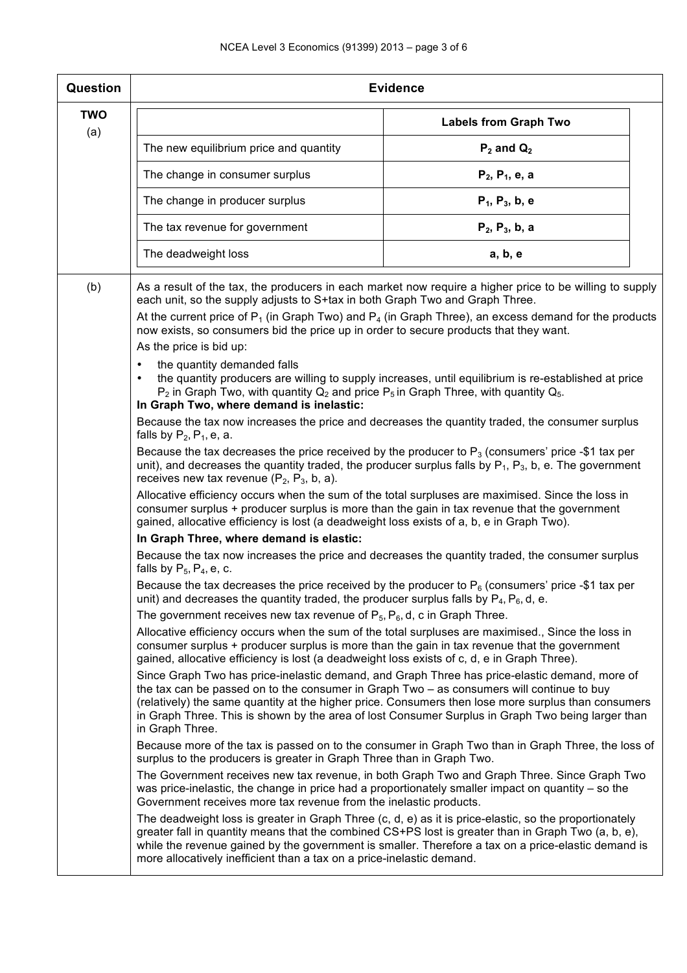| Question          | <b>Evidence</b>                                                                                                                                                                                                                                                                                                                                                                                                           |                                                                                                                                                                                                                                                                                                                      |  |  |  |  |  |
|-------------------|---------------------------------------------------------------------------------------------------------------------------------------------------------------------------------------------------------------------------------------------------------------------------------------------------------------------------------------------------------------------------------------------------------------------------|----------------------------------------------------------------------------------------------------------------------------------------------------------------------------------------------------------------------------------------------------------------------------------------------------------------------|--|--|--|--|--|
| <b>TWO</b><br>(a) | <b>Labels from Graph Two</b>                                                                                                                                                                                                                                                                                                                                                                                              |                                                                                                                                                                                                                                                                                                                      |  |  |  |  |  |
|                   | The new equilibrium price and quantity                                                                                                                                                                                                                                                                                                                                                                                    | $P_2$ and $Q_2$                                                                                                                                                                                                                                                                                                      |  |  |  |  |  |
|                   | The change in consumer surplus                                                                                                                                                                                                                                                                                                                                                                                            | $P_2, P_1, e, a$                                                                                                                                                                                                                                                                                                     |  |  |  |  |  |
|                   | $P_1$ , $P_3$ , b, e<br>The change in producer surplus                                                                                                                                                                                                                                                                                                                                                                    |                                                                                                                                                                                                                                                                                                                      |  |  |  |  |  |
|                   | The tax revenue for government                                                                                                                                                                                                                                                                                                                                                                                            | $P_2$ , $P_3$ , b, a                                                                                                                                                                                                                                                                                                 |  |  |  |  |  |
|                   | The deadweight loss                                                                                                                                                                                                                                                                                                                                                                                                       | a, b, e                                                                                                                                                                                                                                                                                                              |  |  |  |  |  |
| (b)               | each unit, so the supply adjusts to S+tax in both Graph Two and Graph Three.                                                                                                                                                                                                                                                                                                                                              | As a result of the tax, the producers in each market now require a higher price to be willing to supply                                                                                                                                                                                                              |  |  |  |  |  |
|                   | now exists, so consumers bid the price up in order to secure products that they want.<br>As the price is bid up:                                                                                                                                                                                                                                                                                                          | At the current price of $P_1$ (in Graph Two) and $P_4$ (in Graph Three), an excess demand for the products                                                                                                                                                                                                           |  |  |  |  |  |
|                   | the quantity demanded falls<br>$\bullet$<br>$\bullet$<br>$P_2$ in Graph Two, with quantity $Q_2$ and price $P_5$ in Graph Three, with quantity $Q_5$ .<br>In Graph Two, where demand is inelastic:                                                                                                                                                                                                                        | the quantity producers are willing to supply increases, until equilibrium is re-established at price                                                                                                                                                                                                                 |  |  |  |  |  |
|                   | falls by $P_2$ , $P_1$ , e, a.                                                                                                                                                                                                                                                                                                                                                                                            | Because the tax now increases the price and decreases the quantity traded, the consumer surplus                                                                                                                                                                                                                      |  |  |  |  |  |
|                   | Because the tax decreases the price received by the producer to $P_3$ (consumers' price -\$1 tax per<br>unit), and decreases the quantity traded, the producer surplus falls by $P_1$ , $P_3$ , b, e. The government<br>receives new tax revenue $(P_2, P_3, b, a)$ .                                                                                                                                                     |                                                                                                                                                                                                                                                                                                                      |  |  |  |  |  |
|                   | Allocative efficiency occurs when the sum of the total surpluses are maximised. Since the loss in<br>consumer surplus + producer surplus is more than the gain in tax revenue that the government<br>gained, allocative efficiency is lost (a deadweight loss exists of a, b, e in Graph Two).                                                                                                                            |                                                                                                                                                                                                                                                                                                                      |  |  |  |  |  |
|                   | In Graph Three, where demand is elastic:                                                                                                                                                                                                                                                                                                                                                                                  |                                                                                                                                                                                                                                                                                                                      |  |  |  |  |  |
|                   | Because the tax now increases the price and decreases the quantity traded, the consumer surplus<br>falls by $P_5$ , $P_4$ , e, c.                                                                                                                                                                                                                                                                                         |                                                                                                                                                                                                                                                                                                                      |  |  |  |  |  |
|                   | Because the tax decreases the price received by the producer to $P_6$ (consumers' price -\$1 tax per<br>unit) and decreases the quantity traded, the producer surplus falls by $P_4$ , $P_6$ , d, e.                                                                                                                                                                                                                      |                                                                                                                                                                                                                                                                                                                      |  |  |  |  |  |
|                   | The government receives new tax revenue of $P_5$ , $P_6$ , d, c in Graph Three.                                                                                                                                                                                                                                                                                                                                           |                                                                                                                                                                                                                                                                                                                      |  |  |  |  |  |
|                   | Allocative efficiency occurs when the sum of the total surpluses are maximised., Since the loss in<br>consumer surplus + producer surplus is more than the gain in tax revenue that the government<br>gained, allocative efficiency is lost (a deadweight loss exists of c, d, e in Graph Three).                                                                                                                         |                                                                                                                                                                                                                                                                                                                      |  |  |  |  |  |
|                   | Since Graph Two has price-inelastic demand, and Graph Three has price-elastic demand, more of<br>the tax can be passed on to the consumer in Graph Two - as consumers will continue to buy<br>(relatively) the same quantity at the higher price. Consumers then lose more surplus than consumers<br>in Graph Three. This is shown by the area of lost Consumer Surplus in Graph Two being larger than<br>in Graph Three. |                                                                                                                                                                                                                                                                                                                      |  |  |  |  |  |
|                   | Because more of the tax is passed on to the consumer in Graph Two than in Graph Three, the loss of<br>surplus to the producers is greater in Graph Three than in Graph Two.                                                                                                                                                                                                                                               |                                                                                                                                                                                                                                                                                                                      |  |  |  |  |  |
|                   | The Government receives new tax revenue, in both Graph Two and Graph Three. Since Graph Two<br>was price-inelastic, the change in price had a proportionately smaller impact on quantity - so the<br>Government receives more tax revenue from the inelastic products.                                                                                                                                                    |                                                                                                                                                                                                                                                                                                                      |  |  |  |  |  |
|                   | more allocatively inefficient than a tax on a price-inelastic demand.                                                                                                                                                                                                                                                                                                                                                     | The deadweight loss is greater in Graph Three (c, d, e) as it is price-elastic, so the proportionately<br>greater fall in quantity means that the combined CS+PS lost is greater than in Graph Two (a, b, e),<br>while the revenue gained by the government is smaller. Therefore a tax on a price-elastic demand is |  |  |  |  |  |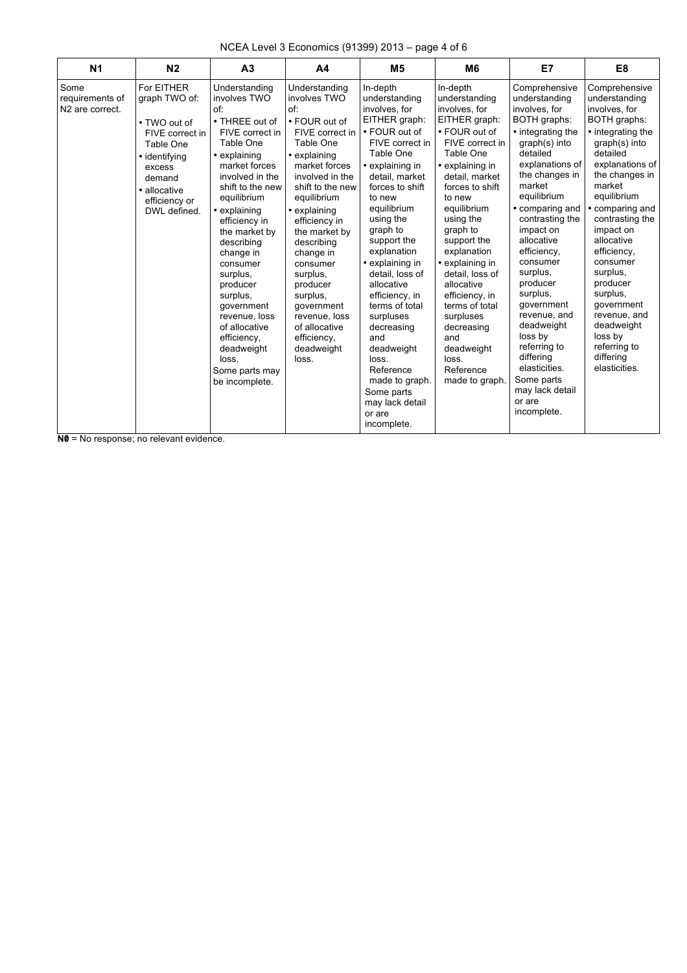| NCEA Level 3 Economics (91399) 2013 – page 4 of 6 |  |  |  |  |
|---------------------------------------------------|--|--|--|--|
|---------------------------------------------------|--|--|--|--|

| N <sub>1</sub>                                         | N <sub>2</sub>                                                                                                                                                    | A <sub>3</sub>                                                                                                                                                                                                                                                                                                                                                                                                                       | A4                                                                                                                                                                                                                                                                                                                                                                                                          | M <sub>5</sub>                                                                                                                                                                                                                                                                                                                                                                                                                                                                                 | M6                                                                                                                                                                                                                                                                                                                                                                                                                                   | E7                                                                                                                                                                                                                                                                                                                                                                                                                                                                             | E8                                                                                                                                                                                                                                                                                                                                                                                                                   |
|--------------------------------------------------------|-------------------------------------------------------------------------------------------------------------------------------------------------------------------|--------------------------------------------------------------------------------------------------------------------------------------------------------------------------------------------------------------------------------------------------------------------------------------------------------------------------------------------------------------------------------------------------------------------------------------|-------------------------------------------------------------------------------------------------------------------------------------------------------------------------------------------------------------------------------------------------------------------------------------------------------------------------------------------------------------------------------------------------------------|------------------------------------------------------------------------------------------------------------------------------------------------------------------------------------------------------------------------------------------------------------------------------------------------------------------------------------------------------------------------------------------------------------------------------------------------------------------------------------------------|--------------------------------------------------------------------------------------------------------------------------------------------------------------------------------------------------------------------------------------------------------------------------------------------------------------------------------------------------------------------------------------------------------------------------------------|--------------------------------------------------------------------------------------------------------------------------------------------------------------------------------------------------------------------------------------------------------------------------------------------------------------------------------------------------------------------------------------------------------------------------------------------------------------------------------|----------------------------------------------------------------------------------------------------------------------------------------------------------------------------------------------------------------------------------------------------------------------------------------------------------------------------------------------------------------------------------------------------------------------|
| Some<br>requirements of<br>N <sub>2</sub> are correct. | For EITHER<br>graph TWO of:<br>• TWO out of<br>FIVE correct in<br>Table One<br>• identifying<br>excess<br>demand<br>• allocative<br>efficiency or<br>DWL defined. | Understanding<br>involves TWO<br>of:<br>• THREE out of<br>FIVE correct in<br>Table One<br>• explaining<br>market forces<br>involved in the<br>shift to the new<br>equilibrium<br>• explaining<br>efficiency in<br>the market by<br>describing<br>change in<br>consumer<br>surplus,<br>producer<br>surplus.<br>qovernment<br>revenue, loss<br>of allocative<br>efficiency,<br>deadweight<br>loss.<br>Some parts may<br>be incomplete. | Understanding<br>involves TWO<br>of <sup>-</sup><br>• FOUR out of<br>FIVE correct in<br>Table One<br>• explaining<br>market forces<br>involved in the<br>shift to the new<br>equilibrium<br>• explaining<br>efficiency in<br>the market by<br>describing<br>change in<br>consumer<br>surplus,<br>producer<br>surplus,<br>qovernment<br>revenue, loss<br>of allocative<br>efficiency,<br>deadweight<br>loss. | In-depth<br>understanding<br>involves, for<br>EITHER graph:<br>• FOUR out of<br>FIVE correct in<br>Table One<br>• explaining in<br>detail, market<br>forces to shift<br>to new<br>equilibrium<br>using the<br>graph to<br>support the<br>explanation<br>• explaining in<br>detail, loss of<br>allocative<br>efficiency, in<br>terms of total<br>surpluses<br>decreasing<br>and<br>deadweight<br>loss.<br>Reference<br>made to graph.<br>Some parts<br>may lack detail<br>or are<br>incomplete. | In-depth<br>understanding<br>involves, for<br>EITHER graph:<br>• FOUR out of<br>FIVE correct in<br>Table One<br>• explaining in<br>detail, market<br>forces to shift<br>to new<br>equilibrium<br>using the<br>graph to<br>support the<br>explanation<br>• explaining in<br>detail. loss of<br>allocative<br>efficiency, in<br>terms of total<br>surpluses<br>decreasing<br>and<br>deadweight<br>loss.<br>Reference<br>made to graph. | Comprehensive<br>understanding<br>involves, for<br>BOTH graphs:<br>• integrating the<br>graph(s) into<br>detailed<br>explanations of<br>the changes in<br>market<br>equilibrium<br>• comparing and<br>contrasting the<br>impact on<br>allocative<br>efficiency.<br>consumer<br>surplus,<br>producer<br>surplus,<br>qovernment<br>revenue, and<br>deadweight<br>loss by<br>referring to<br>differing<br>elasticities.<br>Some parts<br>may lack detail<br>or are<br>incomplete. | Comprehensive<br>understanding<br>involves, for<br>BOTH graphs:<br>• integrating the<br>graph(s) into<br>detailed<br>explanations of<br>the changes in<br>market<br>equilibrium<br>• comparing and<br>contrasting the<br>impact on<br>allocative<br>efficiency.<br>consumer<br>surplus,<br>producer<br>surplus,<br>qovernment<br>revenue, and<br>deadweight<br>loss by<br>referring to<br>differing<br>elasticities. |

**N0** = No response; no relevant evidence.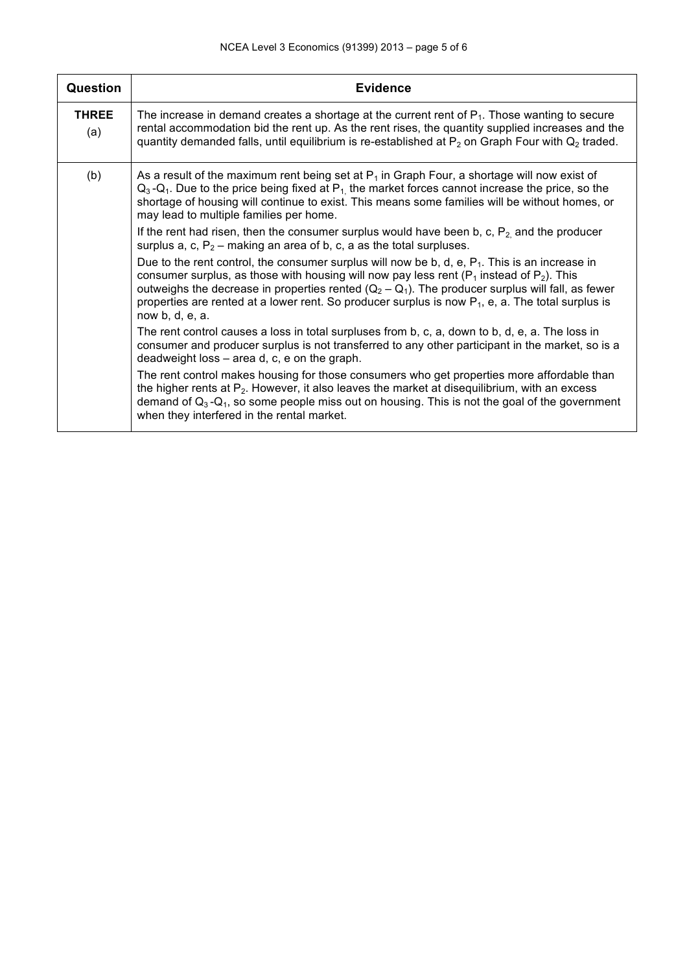| <b>Question</b>     | <b>Evidence</b>                                                                                                                                                                                                                                                                                                                                                                                                                         |
|---------------------|-----------------------------------------------------------------------------------------------------------------------------------------------------------------------------------------------------------------------------------------------------------------------------------------------------------------------------------------------------------------------------------------------------------------------------------------|
| <b>THREE</b><br>(a) | The increase in demand creates a shortage at the current rent of $P_1$ . Those wanting to secure<br>rental accommodation bid the rent up. As the rent rises, the quantity supplied increases and the<br>quantity demanded falls, until equilibrium is re-established at $P_2$ on Graph Four with $Q_2$ traded.                                                                                                                          |
| (b)                 | As a result of the maximum rent being set at $P_1$ in Graph Four, a shortage will now exist of<br>$Q_3-Q_1$ . Due to the price being fixed at P <sub>1</sub> the market forces cannot increase the price, so the<br>shortage of housing will continue to exist. This means some families will be without homes, or<br>may lead to multiple families per home.                                                                           |
|                     | If the rent had risen, then the consumer surplus would have been b, c, $P_2$ and the producer<br>surplus a, c, $P_2$ – making an area of b, c, a as the total surpluses.                                                                                                                                                                                                                                                                |
|                     | Due to the rent control, the consumer surplus will now be b, d, e, $P_1$ . This is an increase in<br>consumer surplus, as those with housing will now pay less rent ( $P_1$ instead of $P_2$ ). This<br>outweighs the decrease in properties rented $(Q_2 - Q_1)$ . The producer surplus will fall, as fewer<br>properties are rented at a lower rent. So producer surplus is now $P_1$ , e, a. The total surplus is<br>now b, d, e, a. |
|                     | The rent control causes a loss in total surpluses from b, c, a, down to b, d, e, a. The loss in<br>consumer and producer surplus is not transferred to any other participant in the market, so is a<br>deadweight loss – area d, c, e on the graph.                                                                                                                                                                                     |
|                     | The rent control makes housing for those consumers who get properties more affordable than<br>the higher rents at $P_2$ . However, it also leaves the market at disequilibrium, with an excess<br>demand of $Q_3 - Q_1$ , so some people miss out on housing. This is not the goal of the government<br>when they interfered in the rental market.                                                                                      |